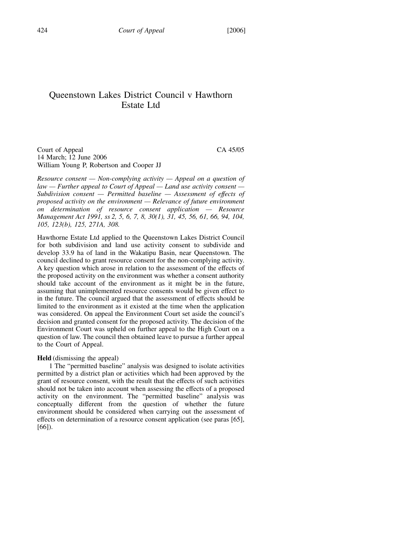### Queenstown Lakes District Council v Hawthorn Estate Ltd

Court of Appeal CA 45/05 14 March; 12 June 2006 William Young P, Robertson and Cooper JJ

Resource consent  $-$  Non-complying activity  $-$  Appeal on a question of  $law - Further$  appeal to Court of Appeal  $-$  Land use activity consent  $-$ Subdivision consent — Permitted baseline — Assessment of effects of proposed activity on the environment — Relevance of future environment on determination of resource consent application — Resource Management Act 1991, ss 2, 5, 6, 7, 8, 30(1), 31, 45, 56, 61, 66, 94, 104, 105, 123(b), 125, 271A, 308.

Hawthorne Estate Ltd applied to the Queenstown Lakes District Council for both subdivision and land use activity consent to subdivide and develop 33.9 ha of land in the Wakatipu Basin, near Queenstown. The council declined to grant resource consent for the non-complying activity. A key question which arose in relation to the assessment of the effects of the proposed activity on the environment was whether a consent authority should take account of the environment as it might be in the future, assuming that unimplemented resource consents would be given effect to in the future. The council argued that the assessment of effects should be limited to the environment as it existed at the time when the application was considered. On appeal the Environment Court set aside the council's decision and granted consent for the proposed activity. The decision of the Environment Court was upheld on further appeal to the High Court on a question of law. The council then obtained leave to pursue a further appeal to the Court of Appeal.

#### Held (dismissing the appeal)

1 The "permitted baseline" analysis was designed to isolate activities permitted by a district plan or activities which had been approved by the grant of resource consent, with the result that the effects of such activities should not be taken into account when assessing the effects of a proposed activity on the environment. The "permitted baseline" analysis was conceptually different from the question of whether the future environment should be considered when carrying out the assessment of effects on determination of a resource consent application (see paras [65], [66]).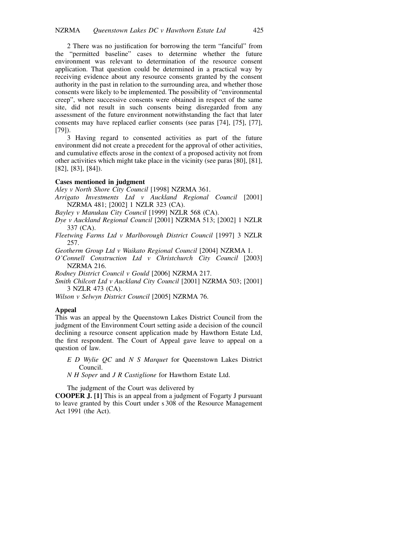2 There was no justification for borrowing the term "fanciful" from the "permitted baseline" cases to determine whether the future environment was relevant to determination of the resource consent application. That question could be determined in a practical way by receiving evidence about any resource consents granted by the consent authority in the past in relation to the surrounding area, and whether those consents were likely to be implemented. The possibility of "environmental creep", where successive consents were obtained in respect of the same site, did not result in such consents being disregarded from any assessment of the future environment notwithstanding the fact that later consents may have replaced earlier consents (see paras [74], [75], [77], [79]).

3 Having regard to consented activities as part of the future environment did not create a precedent for the approval of other activities, and cumulative effects arose in the context of a proposed activity not from other activities which might take place in the vicinity (see paras [80], [81], [82], [83], [84]).

#### Cases mentioned in judgment

Aley v North Shore City Council [1998] NZRMA 361.

Arrigato Investments Ltd v Auckland Regional Council [2001] NZRMA 481; [2002] 1 NZLR 323 (CA).

Bayley v Manukau City Council [1999] NZLR 568 (CA).

Dye v Auckland Regional Council [2001] NZRMA 513; [2002] 1 NZLR 337 (CA).

Fleetwing Farms Ltd v Marlborough District Council [1997] 3 NZLR 257.

Geotherm Group Ltd v Waikato Regional Council [2004] NZRMA 1.

O'Connell Construction Ltd v Christchurch City Council [2003] NZRMA 216.

Rodney District Council v Gould [2006] NZRMA 217.

Smith Chilcott Ltd v Auckland City Council [2001] NZRMA 503; [2001] 3 NZLR 473 (CA).

Wilson v Selwyn District Council [2005] NZRMA 76.

#### Appeal

This was an appeal by the Queenstown Lakes District Council from the judgment of the Environment Court setting aside a decision of the council declining a resource consent application made by Hawthorn Estate Ltd, the first respondent. The Court of Appeal gave leave to appeal on a question of law.

- E D Wylie QC and N S Marquet for Queenstown Lakes District Council.
- N H Soper and J R Castiglione for Hawthorn Estate Ltd.

The judgment of the Court was delivered by

COOPER J. [1] This is an appeal from a judgment of Fogarty J pursuant to leave granted by this Court under s 308 of the Resource Management Act 1991 (the Act).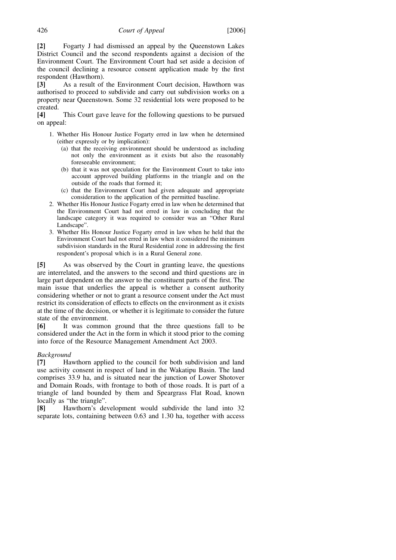[2] Fogarty J had dismissed an appeal by the Queenstown Lakes District Council and the second respondents against a decision of the Environment Court. The Environment Court had set aside a decision of the council declining a resource consent application made by the first respondent (Hawthorn).

[3] As a result of the Environment Court decision, Hawthorn was authorised to proceed to subdivide and carry out subdivision works on a property near Queenstown. Some 32 residential lots were proposed to be created.<br>[4]

This Court gave leave for the following questions to be pursued on appeal:

- 1. Whether His Honour Justice Fogarty erred in law when he determined (either expressly or by implication):
	- (a) that the receiving environment should be understood as including not only the environment as it exists but also the reasonably foreseeable environment;
	- (b) that it was not speculation for the Environment Court to take into account approved building platforms in the triangle and on the outside of the roads that formed it;
	- (c) that the Environment Court had given adequate and appropriate consideration to the application of the permitted baseline.
- 2. Whether His Honour Justice Fogarty erred in law when he determined that the Environment Court had not erred in law in concluding that the landscape category it was required to consider was an "Other Rural Landscape".
- 3. Whether His Honour Justice Fogarty erred in law when he held that the Environment Court had not erred in law when it considered the minimum subdivision standards in the Rural Residential zone in addressing the first respondent's proposal which is in a Rural General zone.

[5] As was observed by the Court in granting leave, the questions are interrelated, and the answers to the second and third questions are in large part dependent on the answer to the constituent parts of the first. The main issue that underlies the appeal is whether a consent authority considering whether or not to grant a resource consent under the Act must restrict its consideration of effects to effects on the environment as it exists at the time of the decision, or whether it is legitimate to consider the future state of the environment.

[6] It was common ground that the three questions fall to be considered under the Act in the form in which it stood prior to the coming into force of the Resource Management Amendment Act 2003.

### Background

[7] Hawthorn applied to the council for both subdivision and land use activity consent in respect of land in the Wakatipu Basin. The land comprises 33.9 ha, and is situated near the junction of Lower Shotover and Domain Roads, with frontage to both of those roads. It is part of a triangle of land bounded by them and Speargrass Flat Road, known locally as "the triangle".

[8] Hawthorn's development would subdivide the land into 32 separate lots, containing between 0.63 and 1.30 ha, together with access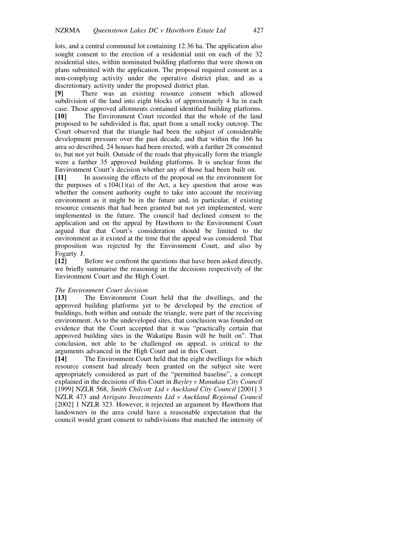lots, and a central communal lot containing 12.36 ha. The application also sought consent to the erection of a residential unit on each of the 32 residential sites, within nominated building platforms that were shown on plans submitted with the application. The proposal required consent as a non-complying activity under the operative district plan, and as a discretionary activity under the proposed district plan.

[9] There was an existing resource consent which allowed subdivision of the land into eight blocks of approximately 4 ha in each case. Those approved allotments contained identified building platforms. [10] The Environment Court recorded that the whole of the land proposed to be subdivided is flat, apart from a small rocky outcrop. The Court observed that the triangle had been the subject of considerable development pressure over the past decade, and that within the 166 ha area so described, 24 houses had been erected, with a further 28 consented to, but not yet built. Outside of the roads that physically form the triangle were a further 35 approved building platforms. It is unclear from the Environment Court's decision whether any of those had been built on.

[11] In assessing the effects of the proposal on the environment for the purposes of  $s 104(1)(a)$  of the Act, a key question that arose was whether the consent authority ought to take into account the receiving environment as it might be in the future and, in particular, if existing resource consents that had been granted but not yet implemented, were implemented in the future. The council had declined consent to the application and on the appeal by Hawthorn to the Environment Court argued that that Court's consideration should be limited to the environment as it existed at the time that the appeal was considered. That proposition was rejected by the Environment Court, and also by Fogarty J.

[12] Before we confront the questions that have been asked directly, we briefly summarise the reasoning in the decisions respectively of the Environment Court and the High Court.

### The Environment Court decision

[13] The Environment Court held that the dwellings, and the approved building platforms yet to be developed by the erection of buildings, both within and outside the triangle, were part of the receiving environment. As to the undeveloped sites, that conclusion was founded on evidence that the Court accepted that it was "practically certain that approved building sites in the Wakatipu Basin will be built on". That conclusion, not able to be challenged on appeal, is critical to the arguments advanced in the High Court and in this Court.

[14] The Environment Court held that the eight dwellings for which resource consent had already been granted on the subject site were appropriately considered as part of the "permitted baseline", a concept explained in the decisions of this Court in Bayley v Manukau City Council [1999] NZLR 568, Smith Chilcott Ltd v Auckland City Council [2001] 3 NZLR 473 and Arrigato Investments Ltd v Auckland Regional Council [2002] 1 NZLR 323. However, it rejected an argument by Hawthorn that landowners in the area could have a reasonable expectation that the council would grant consent to subdivisions that matched the intensity of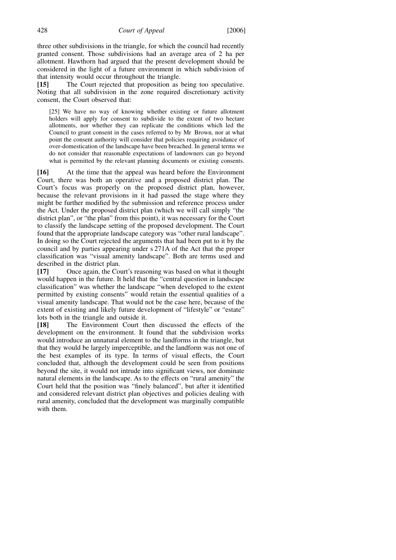three other subdivisions in the triangle, for which the council had recently granted consent. Those subdivisions had an average area of 2 ha per allotment. Hawthorn had argued that the present development should be considered in the light of a future environment in which subdivision of that intensity would occur throughout the triangle.

[15] The Court rejected that proposition as being too speculative. Noting that all subdivision in the zone required discretionary activity consent, the Court observed that:

[25] We have no way of knowing whether existing or future allotment holders will apply for consent to subdivide to the extent of two hectare allotments, nor whether they can replicate the conditions which led the Council to grant consent in the cases referred to by Mr Brown, nor at what point the consent authority will consider that policies requiring avoidance of over-domestication of the landscape have been breached. In general terms we do not consider that reasonable expectations of landowners can go beyond what is permitted by the relevant planning documents or existing consents.

[16] At the time that the appeal was heard before the Environment Court, there was both an operative and a proposed district plan. The Court's focus was properly on the proposed district plan, however, because the relevant provisions in it had passed the stage where they might be further modified by the submission and reference process under the Act. Under the proposed district plan (which we will call simply "the district plan", or "the plan" from this point), it was necessary for the Court to classify the landscape setting of the proposed development. The Court found that the appropriate landscape category was "other rural landscape". In doing so the Court rejected the arguments that had been put to it by the council and by parties appearing under s 271A of the Act that the proper classification was "visual amenity landscape". Both are terms used and described in the district plan.

[17] Once again, the Court's reasoning was based on what it thought would happen in the future. It held that the "central question in landscape classification" was whether the landscape "when developed to the extent permitted by existing consents" would retain the essential qualities of a visual amenity landscape. That would not be the case here, because of the extent of existing and likely future development of "lifestyle" or "estate" lots both in the triangle and outside it.

[18] The Environment Court then discussed the effects of the development on the environment. It found that the subdivision works would introduce an unnatural element to the landforms in the triangle, but that they would be largely imperceptible, and the landform was not one of the best examples of its type. In terms of visual effects, the Court concluded that, although the development could be seen from positions beyond the site, it would not intrude into significant views, nor dominate natural elements in the landscape. As to the effects on "rural amenity" the Court held that the position was "finely balanced", but after it identified and considered relevant district plan objectives and policies dealing with rural amenity, concluded that the development was marginally compatible with them.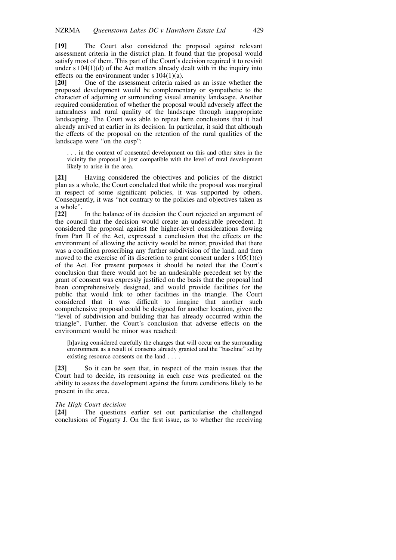[19] The Court also considered the proposal against relevant assessment criteria in the district plan. It found that the proposal would satisfy most of them. This part of the Court's decision required it to revisit under s  $104(1)(d)$  of the Act matters already dealt with in the inquiry into effects on the environment under  $s$  104(1)(a).<br>[20] One of the assessment criteria rais

[20] One of the assessment criteria raised as an issue whether the proposed development would be complementary or sympathetic to the character of adjoining or surrounding visual amenity landscape. Another required consideration of whether the proposal would adversely affect the naturalness and rural quality of the landscape through inappropriate landscaping. The Court was able to repeat here conclusions that it had already arrived at earlier in its decision. In particular, it said that although the effects of the proposal on the retention of the rural qualities of the landscape were "on the cusp":

. . . in the context of consented development on this and other sites in the vicinity the proposal is just compatible with the level of rural development likely to arise in the area.

[21] Having considered the objectives and policies of the district plan as a whole, the Court concluded that while the proposal was marginal in respect of some significant policies, it was supported by others. Consequently, it was "not contrary to the policies and objectives taken as a whole".<br> $[22]$ 

In the balance of its decision the Court rejected an argument of the council that the decision would create an undesirable precedent. It considered the proposal against the higher-level considerations flowing from Part II of the Act, expressed a conclusion that the effects on the environment of allowing the activity would be minor, provided that there was a condition proscribing any further subdivision of the land, and then moved to the exercise of its discretion to grant consent under  $s 105(1)(c)$ of the Act. For present purposes it should be noted that the Court's conclusion that there would not be an undesirable precedent set by the grant of consent was expressly justified on the basis that the proposal had been comprehensively designed, and would provide facilities for the public that would link to other facilities in the triangle. The Court considered that it was difficult to imagine that another such comprehensive proposal could be designed for another location, given the "level of subdivision and building that has already occurred within the triangle". Further, the Court's conclusion that adverse effects on the environment would be minor was reached:

[h]aving considered carefully the changes that will occur on the surrounding environment as a result of consents already granted and the "baseline" set by existing resource consents on the land . . . .

[23] So it can be seen that, in respect of the main issues that the Court had to decide, its reasoning in each case was predicated on the ability to assess the development against the future conditions likely to be present in the area.

#### The High Court decision

[24] The questions earlier set out particularise the challenged conclusions of Fogarty J. On the first issue, as to whether the receiving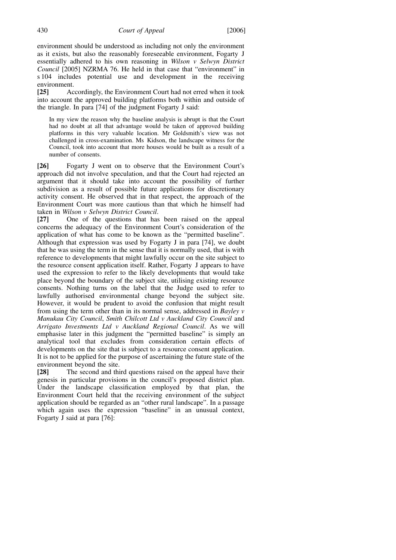environment should be understood as including not only the environment as it exists, but also the reasonably foreseeable environment, Fogarty J essentially adhered to his own reasoning in Wilson v Selwyn District Council [2005] NZRMA 76. He held in that case that "environment" in s 104 includes potential use and development in the receiving environment.

[25] Accordingly, the Environment Court had not erred when it took into account the approved building platforms both within and outside of the triangle. In para [74] of the judgment Fogarty J said:

In my view the reason why the baseline analysis is abrupt is that the Court had no doubt at all that advantage would be taken of approved building platforms in this very valuable location. Mr Goldsmith's view was not challenged in cross-examination. Ms Kidson, the landscape witness for the Council, took into account that more houses would be built as a result of a number of consents.

[26] Fogarty J went on to observe that the Environment Court's approach did not involve speculation, and that the Court had rejected an argument that it should take into account the possibility of further subdivision as a result of possible future applications for discretionary activity consent. He observed that in that respect, the approach of the Environment Court was more cautious than that which he himself had taken in Wilson v Selwyn District Council.

[27] One of the questions that has been raised on the appeal concerns the adequacy of the Environment Court's consideration of the application of what has come to be known as the "permitted baseline". Although that expression was used by Fogarty J in para [74], we doubt that he was using the term in the sense that it is normally used, that is with reference to developments that might lawfully occur on the site subject to the resource consent application itself. Rather, Fogarty J appears to have used the expression to refer to the likely developments that would take place beyond the boundary of the subject site, utilising existing resource consents. Nothing turns on the label that the Judge used to refer to lawfully authorised environmental change beyond the subject site. However, it would be prudent to avoid the confusion that might result from using the term other than in its normal sense, addressed in Bayley v Manukau City Council, Smith Chilcott Ltd v Auckland City Council and Arrigato Investments Ltd v Auckland Regional Council. As we will emphasise later in this judgment the "permitted baseline" is simply an analytical tool that excludes from consideration certain effects of developments on the site that is subject to a resource consent application. It is not to be applied for the purpose of ascertaining the future state of the environment beyond the site.

[28] The second and third questions raised on the appeal have their genesis in particular provisions in the council's proposed district plan. Under the landscape classification employed by that plan, the Environment Court held that the receiving environment of the subject application should be regarded as an "other rural landscape". In a passage which again uses the expression "baseline" in an unusual context, Fogarty J said at para [76]: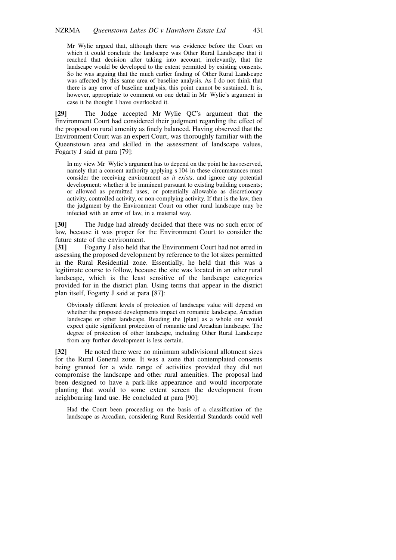Mr Wylie argued that, although there was evidence before the Court on which it could conclude the landscape was Other Rural Landscape that it reached that decision after taking into account, irrelevantly, that the landscape would be developed to the extent permitted by existing consents. So he was arguing that the much earlier finding of Other Rural Landscape was affected by this same area of baseline analysis. As I do not think that there is any error of baseline analysis, this point cannot be sustained. It is, however, appropriate to comment on one detail in Mr Wylie's argument in case it be thought I have overlooked it.

[29] The Judge accepted Mr Wylie QC's argument that the Environment Court had considered their judgment regarding the effect of the proposal on rural amenity as finely balanced. Having observed that the Environment Court was an expert Court, was thoroughly familiar with the Queenstown area and skilled in the assessment of landscape values, Fogarty J said at para [79]:

In my view Mr Wylie's argument has to depend on the point he has reserved, namely that a consent authority applying s 104 in these circumstances must consider the receiving environment *as it exists*, and ignore any potential development: whether it be imminent pursuant to existing building consents; or allowed as permitted uses; or potentially allowable as discretionary activity, controlled activity, or non-complying activity. If that is the law, then the judgment by the Environment Court on other rural landscape may be infected with an error of law, in a material way.

[30] The Judge had already decided that there was no such error of law, because it was proper for the Environment Court to consider the future state of the environment.

[31] Fogarty J also held that the Environment Court had not erred in assessing the proposed development by reference to the lot sizes permitted in the Rural Residential zone. Essentially, he held that this was a legitimate course to follow, because the site was located in an other rural landscape, which is the least sensitive of the landscape categories provided for in the district plan. Using terms that appear in the district plan itself, Fogarty J said at para [87]:

Obviously different levels of protection of landscape value will depend on whether the proposed developments impact on romantic landscape, Arcadian landscape or other landscape. Reading the [plan] as a whole one would expect quite significant protection of romantic and Arcadian landscape. The degree of protection of other landscape, including Other Rural Landscape from any further development is less certain.

[32] He noted there were no minimum subdivisional allotment sizes for the Rural General zone. It was a zone that contemplated consents being granted for a wide range of activities provided they did not compromise the landscape and other rural amenities. The proposal had been designed to have a park-like appearance and would incorporate planting that would to some extent screen the development from neighbouring land use. He concluded at para [90]:

Had the Court been proceeding on the basis of a classification of the landscape as Arcadian, considering Rural Residential Standards could well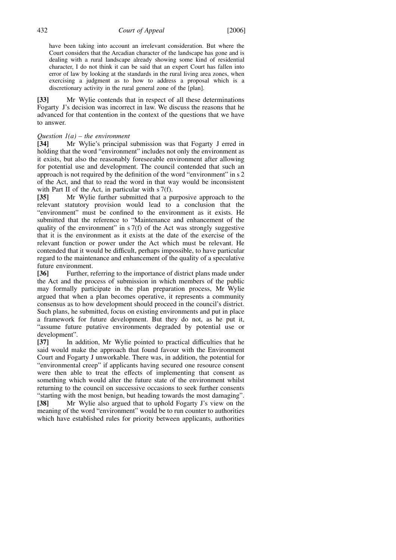have been taking into account an irrelevant consideration. But where the Court considers that the Arcadian character of the landscape has gone and is dealing with a rural landscape already showing some kind of residential character, I do not think it can be said that an expert Court has fallen into error of law by looking at the standards in the rural living area zones, when exercising a judgment as to how to address a proposal which is a discretionary activity in the rural general zone of the [plan].

[33] Mr Wylie contends that in respect of all these determinations Fogarty J's decision was incorrect in law. We discuss the reasons that he advanced for that contention in the context of the questions that we have to answer.

Question  $l(a)$  – the environment<br> **[34]** Mr Wylie's principal Mr Wylie's principal submission was that Fogarty J erred in holding that the word "environment" includes not only the environment as it exists, but also the reasonably foreseeable environment after allowing for potential use and development. The council contended that such an approach is not required by the definition of the word "environment" in s 2 of the Act, and that to read the word in that way would be inconsistent with Part II of the Act, in particular with s 7(f).

[35] Mr Wylie further submitted that a purposive approach to the relevant statutory provision would lead to a conclusion that the "environment" must be confined to the environment as it exists. He submitted that the reference to "Maintenance and enhancement of the quality of the environment" in  $s \, 7(f)$  of the Act was strongly suggestive that it is the environment as it exists at the date of the exercise of the relevant function or power under the Act which must be relevant. He contended that it would be difficult, perhaps impossible, to have particular regard to the maintenance and enhancement of the quality of a speculative future environment.

[36] Further, referring to the importance of district plans made under the Act and the process of submission in which members of the public may formally participate in the plan preparation process, Mr Wylie argued that when a plan becomes operative, it represents a community consensus as to how development should proceed in the council's district. Such plans, he submitted, focus on existing environments and put in place a framework for future development. But they do not, as he put it, "assume future putative environments degraded by potential use or development".

[37] In addition, Mr Wylie pointed to practical difficulties that he said would make the approach that found favour with the Environment Court and Fogarty J unworkable. There was, in addition, the potential for "environmental creep" if applicants having secured one resource consent were then able to treat the effects of implementing that consent as something which would alter the future state of the environment whilst returning to the council on successive occasions to seek further consents "starting with the most benign, but heading towards the most damaging". [38] Mr Wylie also argued that to uphold Fogarty J's view on the meaning of the word "environment" would be to run counter to authorities

which have established rules for priority between applicants, authorities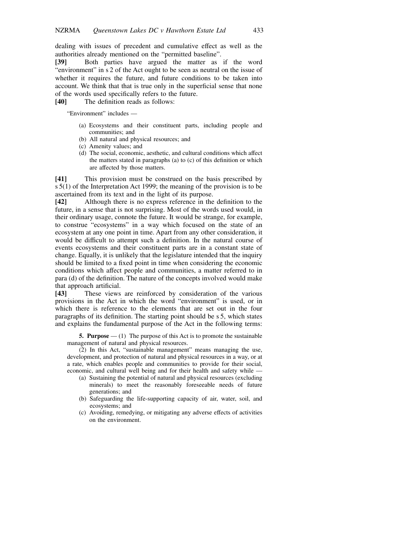dealing with issues of precedent and cumulative effect as well as the authorities already mentioned on the "permitted baseline".

[39] Both parties have argued the matter as if the word "environment" in s 2 of the Act ought to be seen as neutral on the issue of whether it requires the future, and future conditions to be taken into account. We think that that is true only in the superficial sense that none of the words used specifically refers to the future.<br> **[40]** The definition reads as follows:

The definition reads as follows:

"Environment" includes —

- (a) Ecosystems and their constituent parts, including people and communities; and
- (b) All natural and physical resources; and
- (c) Amenity values; and
- (d) The social, economic, aesthetic, and cultural conditions which affect the matters stated in paragraphs (a) to (c) of this definition or which are affected by those matters.

[41] This provision must be construed on the basis prescribed by s 5(1) of the Interpretation Act 1999; the meaning of the provision is to be ascertained from its text and in the light of its purpose.

[42] Although there is no express reference in the definition to the future, in a sense that is not surprising. Most of the words used would, in their ordinary usage, connote the future. It would be strange, for example, to construe "ecosystems" in a way which focused on the state of an ecosystem at any one point in time. Apart from any other consideration, it would be difficult to attempt such a definition. In the natural course of events ecosystems and their constituent parts are in a constant state of change. Equally, it is unlikely that the legislature intended that the inquiry should be limited to a fixed point in time when considering the economic conditions which affect people and communities, a matter referred to in para (d) of the definition. The nature of the concepts involved would make that approach artificial.

[43] These views are reinforced by consideration of the various provisions in the Act in which the word "environment" is used, or in which there is reference to the elements that are set out in the four paragraphs of its definition. The starting point should be s 5, which states and explains the fundamental purpose of the Act in the following terms:

5. Purpose  $-$  (1) The purpose of this Act is to promote the sustainable management of natural and physical resources.

(2) In this Act, "sustainable management" means managing the use, development, and protection of natural and physical resources in a way, or at a rate, which enables people and communities to provide for their social, economic, and cultural well being and for their health and safety while —

- (a) Sustaining the potential of natural and physical resources (excluding minerals) to meet the reasonably foreseeable needs of future generations; and
- (b) Safeguarding the life-supporting capacity of air, water, soil, and ecosystems; and
- (c) Avoiding, remedying, or mitigating any adverse effects of activities on the environment.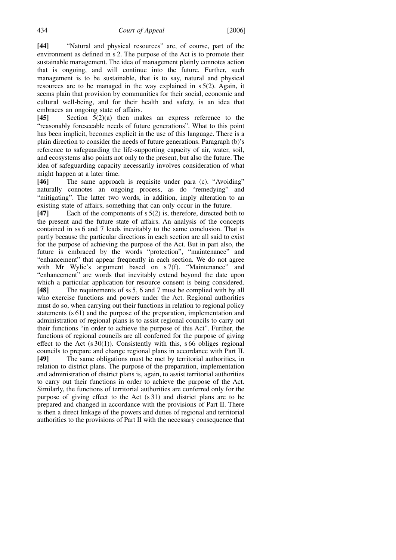[44] "Natural and physical resources" are, of course, part of the environment as defined in s 2. The purpose of the Act is to promote their sustainable management. The idea of management plainly connotes action that is ongoing, and will continue into the future. Further, such management is to be sustainable, that is to say, natural and physical resources are to be managed in the way explained in s 5(2). Again, it seems plain that provision by communities for their social, economic and cultural well-being, and for their health and safety, is an idea that embraces an ongoing state of affairs.<br> **[45]** Section  $5(2)(a)$  then mal

Section  $5(2)(a)$  then makes an express reference to the "reasonably foreseeable needs of future generations". What to this point has been implicit, becomes explicit in the use of this language. There is a plain direction to consider the needs of future generations. Paragraph (b)'s reference to safeguarding the life-supporting capacity of air, water, soil, and ecosystems also points not only to the present, but also the future. The idea of safeguarding capacity necessarily involves consideration of what might happen at a later time.

[46] The same approach is requisite under para (c). "Avoiding" naturally connotes an ongoing process, as do "remedying" and "mitigating". The latter two words, in addition, imply alteration to an existing state of affairs, something that can only occur in the future.

[47] Each of the components of  $s 5(2)$  is, therefore, directed both to the present and the future state of affairs. An analysis of the concepts contained in ss 6 and 7 leads inevitably to the same conclusion. That is partly because the particular directions in each section are all said to exist for the purpose of achieving the purpose of the Act. But in part also, the future is embraced by the words "protection", "maintenance" and "enhancement" that appear frequently in each section. We do not agree with Mr Wylie's argument based on s 7(f). "Maintenance" and "enhancement" are words that inevitably extend beyond the date upon which a particular application for resource consent is being considered. [48] The requirements of ss 5, 6 and 7 must be complied with by all who exercise functions and powers under the Act. Regional authorities must do so, when carrying out their functions in relation to regional policy statements (s 61) and the purpose of the preparation, implementation and administration of regional plans is to assist regional councils to carry out their functions "in order to achieve the purpose of this Act". Further, the functions of regional councils are all conferred for the purpose of giving effect to the Act  $(s \ 30(1))$ . Consistently with this, s 66 obliges regional councils to prepare and change regional plans in accordance with Part II. [49] The same obligations must be met by territorial authorities, in relation to district plans. The purpose of the preparation, implementation and administration of district plans is, again, to assist territorial authorities to carry out their functions in order to achieve the purpose of the Act. Similarly, the functions of territorial authorities are conferred only for the purpose of giving effect to the Act (s 31) and district plans are to be prepared and changed in accordance with the provisions of Part II. There is then a direct linkage of the powers and duties of regional and territorial authorities to the provisions of Part II with the necessary consequence that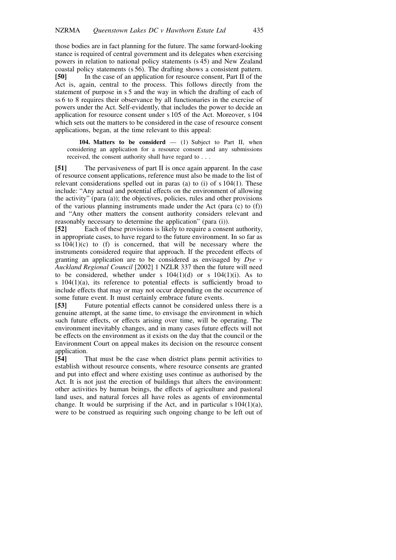those bodies are in fact planning for the future. The same forward-looking stance is required of central government and its delegates when exercising powers in relation to national policy statements (s 45) and New Zealand coastal policy statements (s 56). The drafting shows a consistent pattern.<br> **[50]** In the case of an application for resource consent, Part II of the In the case of an application for resource consent, Part II of the Act is, again, central to the process. This follows directly from the statement of purpose in s 5 and the way in which the drafting of each of ss 6 to 8 requires their observance by all functionaries in the exercise of powers under the Act. Self-evidently, that includes the power to decide an application for resource consent under s 105 of the Act. Moreover, s 104 which sets out the matters to be considered in the case of resource consent applications, began, at the time relevant to this appeal:

104. Matters to be considerd  $-$  (1) Subject to Part II, when considering an application for a resource consent and any submissions received, the consent authority shall have regard to . . .

[51] The pervasiveness of part II is once again apparent. In the case of resource consent applications, reference must also be made to the list of relevant considerations spelled out in paras (a) to (i) of s 104(1). These include: "Any actual and potential effects on the environment of allowing the activity" (para (a)); the objectives, policies, rules and other provisions of the various planning instruments made under the Act (para (c) to (f)) and "Any other matters the consent authority considers relevant and reasonably necessary to determine the application" (para (i)).

[52] Each of these provisions is likely to require a consent authority, in appropriate cases, to have regard to the future environment. In so far as ss  $104(1)(c)$  to (f) is concerned, that will be necessary where the instruments considered require that approach. If the precedent effects of granting an application are to be considered as envisaged by Dye v Auckland Regional Council [2002] 1 NZLR 337 then the future will need to be considered, whether under s  $104(1)(d)$  or s  $104(1)(i)$ . As to s 104(1)(a), its reference to potential effects is sufficiently broad to include effects that may or may not occur depending on the occurrence of some future event. It must certainly embrace future events.

[53] Future potential effects cannot be considered unless there is a genuine attempt, at the same time, to envisage the environment in which such future effects, or effects arising over time, will be operating. The environment inevitably changes, and in many cases future effects will not be effects on the environment as it exists on the day that the council or the Environment Court on appeal makes its decision on the resource consent application.

[54] That must be the case when district plans permit activities to establish without resource consents, where resource consents are granted and put into effect and where existing uses continue as authorised by the Act. It is not just the erection of buildings that alters the environment: other activities by human beings, the effects of agriculture and pastoral land uses, and natural forces all have roles as agents of environmental change. It would be surprising if the Act, and in particular  $s 104(1)(a)$ , were to be construed as requiring such ongoing change to be left out of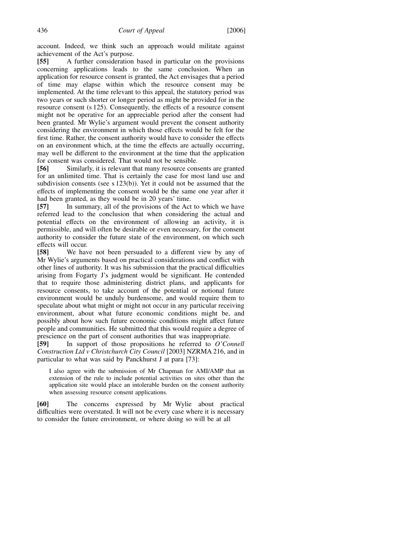account. Indeed, we think such an approach would militate against achievement of the Act's purpose.

[55] A further consideration based in particular on the provisions concerning applications leads to the same conclusion. When an application for resource consent is granted, the Act envisages that a period of time may elapse within which the resource consent may be implemented. At the time relevant to this appeal, the statutory period was two years or such shorter or longer period as might be provided for in the resource consent (s 125). Consequently, the effects of a resource consent might not be operative for an appreciable period after the consent had been granted. Mr Wylie's argument would prevent the consent authority considering the environment in which those effects would be felt for the first time. Rather, the consent authority would have to consider the effects on an environment which, at the time the effects are actually occurring, may well be different to the environment at the time that the application for consent was considered. That would not be sensible.

[56] Similarly, it is relevant that many resource consents are granted for an unlimited time. That is certainly the case for most land use and subdivision consents (see s 123(b)). Yet it could not be assumed that the effects of implementing the consent would be the same one year after it had been granted, as they would be in 20 years' time.

[57] In summary, all of the provisions of the Act to which we have referred lead to the conclusion that when considering the actual and potential effects on the environment of allowing an activity, it is permissible, and will often be desirable or even necessary, for the consent authority to consider the future state of the environment, on which such effects will occur.

[58] We have not been persuaded to a different view by any of Mr Wylie's arguments based on practical considerations and conflict with other lines of authority. It was his submission that the practical difficulties arising from Fogarty J's judgment would be significant. He contended that to require those administering district plans, and applicants for resource consents, to take account of the potential or notional future environment would be unduly burdensome, and would require them to speculate about what might or might not occur in any particular receiving environment, about what future economic conditions might be, and possibly about how such future economic conditions might affect future people and communities. He submitted that this would require a degree of prescience on the part of consent authorities that was inappropriate.

[59] In support of those propositions he referred to O'Connell Construction Ltd v Christchurch City Council [2003] NZRMA 216, and in particular to what was said by Panckhurst J at para [73]:

I also agree with the submission of Mr Chapman for AMI/AMP that an extension of the rule to include potential activities on sites other than the application site would place an intolerable burden on the consent authority when assessing resource consent applications.

[60] The concerns expressed by Mr Wylie about practical difficulties were overstated. It will not be every case where it is necessary to consider the future environment, or where doing so will be at all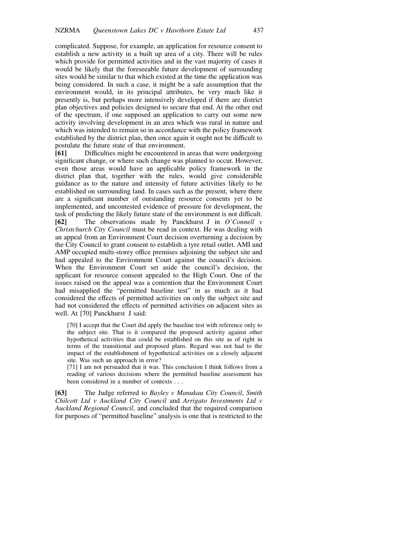complicated. Suppose, for example, an application for resource consent to establish a new activity in a built up area of a city. There will be rules which provide for permitted activities and in the vast majority of cases it would be likely that the foreseeable future development of surrounding sites would be similar to that which existed at the time the application was being considered. In such a case, it might be a safe assumption that the environment would, in its principal attributes, be very much like it presently is, but perhaps more intensively developed if there are district plan objectives and policies designed to secure that end. At the other end of the spectrum, if one supposed an application to carry out some new activity involving development in an area which was rural in nature and which was intended to remain so in accordance with the policy framework established by the district plan, then once again it ought not be difficult to postulate the future state of that environment.

[61] Difficulties might be encountered in areas that were undergoing significant change, or where such change was planned to occur. However, even those areas would have an applicable policy framework in the district plan that, together with the rules, would give considerable guidance as to the nature and intensity of future activities likely to be established on surrounding land. In cases such as the present, where there are a significant number of outstanding resource consents yet to be implemented, and uncontested evidence of pressure for development, the task of predicting the likely future state of the environment is not difficult. [62] The observations made by Panckhurst J in O'Connell v Christchurch City Council must be read in context. He was dealing with an appeal from an Environment Court decision overturning a decision by the City Council to grant consent to establish a tyre retail outlet. AMI and AMP occupied multi-storey office premises adjoining the subject site and had appealed to the Environment Court against the council's decision. When the Environment Court set aside the council's decision, the applicant for resource consent appealed to the High Court. One of the issues raised on the appeal was a contention that the Environment Court had misapplied the "permitted baseline test" in as much as it had considered the effects of permitted activities on only the subject site and had not considered the effects of permitted activities on adjacent sites as well. At [70] Panckhurst J said:

[70] I accept that the Court did apply the baseline test with reference only to the subject site. That is it compared the proposed activity against other hypothetical activities that could be established on this site as of right in terms of the transitional and proposed plans. Regard was not had to the impact of the establishment of hypothetical activities on a closely adjacent site. Was such an approach in error?

[71] I am not persuaded that it was. This conclusion I think follows from a reading of various decisions where the permitted baseline assessment has been considered in a number of contexts . . .

[63] The Judge referred to Bayley v Manukau City Council, Smith Chilcott Ltd v Auckland City Council and Arrigato Investments Ltd v Auckland Regional Council, and concluded that the required comparison for purposes of "permitted baseline" analysis is one that is restricted to the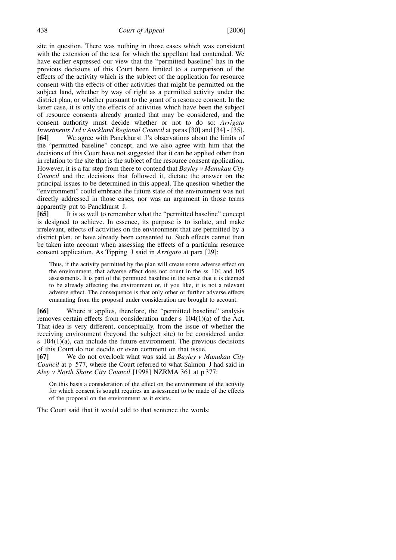site in question. There was nothing in those cases which was consistent with the extension of the test for which the appellant had contended. We have earlier expressed our view that the "permitted baseline" has in the previous decisions of this Court been limited to a comparison of the effects of the activity which is the subject of the application for resource consent with the effects of other activities that might be permitted on the subject land, whether by way of right as a permitted activity under the district plan, or whether pursuant to the grant of a resource consent. In the latter case, it is only the effects of activities which have been the subject of resource consents already granted that may be considered, and the consent authority must decide whether or not to do so: Arrigato Investments Ltd v Auckland Regional Council at paras [30] and [34] - [35]. [64] We agree with Panckhurst J's observations about the limits of the "permitted baseline" concept, and we also agree with him that the decisions of this Court have not suggested that it can be applied other than in relation to the site that is the subject of the resource consent application. However, it is a far step from there to contend that Bayley v Manukau City Council and the decisions that followed it, dictate the answer on the principal issues to be determined in this appeal. The question whether the "environment" could embrace the future state of the environment was not directly addressed in those cases, nor was an argument in those terms apparently put to Panckhurst J.

[65] It is as well to remember what the "permitted baseline" concept is designed to achieve. In essence, its purpose is to isolate, and make irrelevant, effects of activities on the environment that are permitted by a district plan, or have already been consented to. Such effects cannot then be taken into account when assessing the effects of a particular resource consent application. As Tipping J said in Arrigato at para [29]:

Thus, if the activity permitted by the plan will create some adverse effect on the environment, that adverse effect does not count in the ss 104 and 105 assessments. It is part of the permitted baseline in the sense that it is deemed to be already affecting the environment or, if you like, it is not a relevant adverse effect. The consequence is that only other or further adverse effects emanating from the proposal under consideration are brought to account.

[66] Where it applies, therefore, the "permitted baseline" analysis removes certain effects from consideration under s 104(1)(a) of the Act. That idea is very different, conceptually, from the issue of whether the receiving environment (beyond the subject site) to be considered under s  $104(1)(a)$ , can include the future environment. The previous decisions of this Court do not decide or even comment on that issue.

[67] We do not overlook what was said in Bayley v Manukau City Council at p 577, where the Court referred to what Salmon J had said in Aley v North Shore City Council [1998] NZRMA 361 at p 377:

On this basis a consideration of the effect on the environment of the activity for which consent is sought requires an assessment to be made of the effects of the proposal on the environment as it exists.

The Court said that it would add to that sentence the words: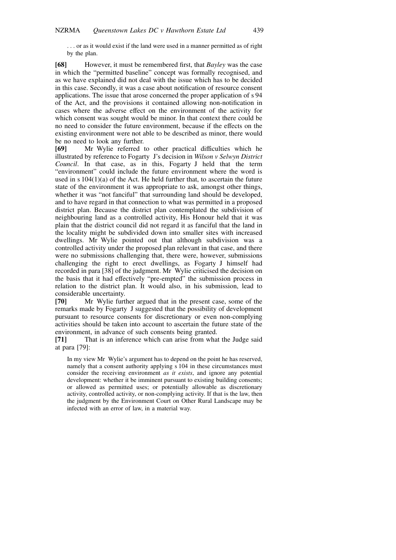. . . or as it would exist if the land were used in a manner permitted as of right by the plan.

[68] However, it must be remembered first, that Bayley was the case in which the "permitted baseline" concept was formally recognised, and as we have explained did not deal with the issue which has to be decided in this case. Secondly, it was a case about notification of resource consent applications. The issue that arose concerned the proper application of s 94 of the Act, and the provisions it contained allowing non-notification in cases where the adverse effect on the environment of the activity for which consent was sought would be minor. In that context there could be no need to consider the future environment, because if the effects on the existing environment were not able to be described as minor, there would be no need to look any further.

[69] Mr Wylie referred to other practical difficulties which he illustrated by reference to Fogarty J's decision in Wilson v Selwyn District Council. In that case, as in this, Fogarty J held that the term "environment" could include the future environment where the word is used in s  $104(1)(a)$  of the Act. He held further that, to ascertain the future state of the environment it was appropriate to ask, amongst other things, whether it was "not fanciful" that surrounding land should be developed, and to have regard in that connection to what was permitted in a proposed district plan. Because the district plan contemplated the subdivision of neighbouring land as a controlled activity, His Honour held that it was plain that the district council did not regard it as fanciful that the land in the locality might be subdivided down into smaller sites with increased dwellings. Mr Wylie pointed out that although subdivision was a controlled activity under the proposed plan relevant in that case, and there were no submissions challenging that, there were, however, submissions challenging the right to erect dwellings, as Fogarty J himself had recorded in para [38] of the judgment. Mr Wylie criticised the decision on the basis that it had effectively "pre-empted" the submission process in relation to the district plan. It would also, in his submission, lead to considerable uncertainty.

[70] Mr Wylie further argued that in the present case, some of the remarks made by Fogarty J suggested that the possibility of development pursuant to resource consents for discretionary or even non-complying activities should be taken into account to ascertain the future state of the environment, in advance of such consents being granted.

[71] That is an inference which can arise from what the Judge said at para [79]:

In my view Mr Wylie's argument has to depend on the point he has reserved, namely that a consent authority applying s 104 in these circumstances must consider the receiving environment as it exists, and ignore any potential development: whether it be imminent pursuant to existing building consents; or allowed as permitted uses; or potentially allowable as discretionary activity, controlled activity, or non-complying activity. If that is the law, then the judgment by the Environment Court on Other Rural Landscape may be infected with an error of law, in a material way.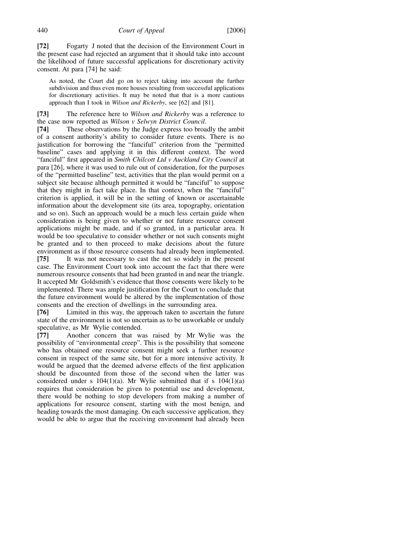[72] Fogarty J noted that the decision of the Environment Court in the present case had rejected an argument that it should take into account the likelihood of future successful applications for discretionary activity consent. At para [74] he said:

As noted, the Court did go on to reject taking into account the further subdivision and thus even more houses resulting from successful applications for discretionary activities. It may be noted that that is a more cautious approach than I took in Wilson and Rickerby, see [62] and [81].

[73] The reference here to *Wilson and Rickerby* was a reference to the case now reported as Wilson v Selwyn District Council.

[74] These observations by the Judge express too broadly the ambit of a consent authority's ability to consider future events. There is no justification for borrowing the "fanciful" criterion from the "permitted baseline" cases and applying it in this different context. The word "fanciful" first appeared in Smith Chilcott Ltd v Auckland City Council at para [26], where it was used to rule out of consideration, for the purposes of the "permitted baseline" test, activities that the plan would permit on a subject site because although permitted it would be "fanciful" to suppose that they might in fact take place. In that context, when the "fanciful" criterion is applied, it will be in the setting of known or ascertainable information about the development site (its area, topography, orientation and so on). Such an approach would be a much less certain guide when consideration is being given to whether or not future resource consent applications might be made, and if so granted, in a particular area. It would be too speculative to consider whether or not such consents might be granted and to then proceed to make decisions about the future environment as if those resource consents had already been implemented. [75] It was not necessary to cast the net so widely in the present case. The Environment Court took into account the fact that there were numerous resource consents that had been granted in and near the triangle. It accepted Mr Goldsmith's evidence that those consents were likely to be implemented. There was ample justification for the Court to conclude that the future environment would be altered by the implementation of those

consents and the erection of dwellings in the surrounding area. [76] Limited in this way, the approach taken to ascertain the future state of the environment is not so uncertain as to be unworkable or unduly speculative, as Mr Wylie contended.

[77] Another concern that was raised by Mr Wylie was the possibility of "environmental creep". This is the possibility that someone who has obtained one resource consent might seek a further resource consent in respect of the same site, but for a more intensive activity. It would be argued that the deemed adverse effects of the first application should be discounted from those of the second when the latter was considered under s  $104(1)(a)$ . Mr Wylie submitted that if s  $104(1)(a)$ requires that consideration be given to potential use and development, there would be nothing to stop developers from making a number of applications for resource consent, starting with the most benign, and heading towards the most damaging. On each successive application, they would be able to argue that the receiving environment had already been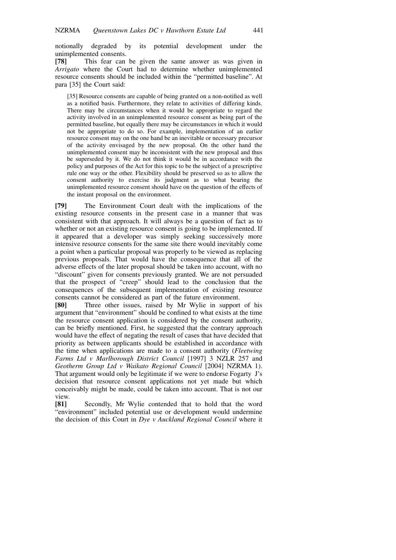notionally degraded by its potential development under the unimplemented consents.

[78] This fear can be given the same answer as was given in Arrigato where the Court had to determine whether unimplemented resource consents should be included within the "permitted baseline". At para [35] the Court said:

[35] Resource consents are capable of being granted on a non-notified as well as a notified basis. Furthermore, they relate to activities of differing kinds. There may be circumstances when it would be appropriate to regard the activity involved in an unimplemented resource consent as being part of the permitted baseline, but equally there may be circumstances in which it would not be appropriate to do so. For example, implementation of an earlier resource consent may on the one hand be an inevitable or necessary precursor of the activity envisaged by the new proposal. On the other hand the unimplemented consent may be inconsistent with the new proposal and thus be superseded by it. We do not think it would be in accordance with the policy and purposes of the Act for this topic to be the subject of a prescriptive rule one way or the other. Flexibility should be preserved so as to allow the consent authority to exercise its judgment as to what bearing the unimplemented resource consent should have on the question of the effects of the instant proposal on the environment.

[79] The Environment Court dealt with the implications of the existing resource consents in the present case in a manner that was consistent with that approach. It will always be a question of fact as to whether or not an existing resource consent is going to be implemented. If it appeared that a developer was simply seeking successively more intensive resource consents for the same site there would inevitably come a point when a particular proposal was properly to be viewed as replacing previous proposals. That would have the consequence that all of the adverse effects of the later proposal should be taken into account, with no "discount" given for consents previously granted. We are not persuaded that the prospect of "creep" should lead to the conclusion that the consequences of the subsequent implementation of existing resource consents cannot be considered as part of the future environment.

[80] Three other issues, raised by Mr Wylie in support of his argument that "environment" should be confined to what exists at the time the resource consent application is considered by the consent authority, can be briefly mentioned. First, he suggested that the contrary approach would have the effect of negating the result of cases that have decided that priority as between applicants should be established in accordance with the time when applications are made to a consent authority (Fleetwing Farms Ltd v Marlborough District Council [1997] 3 NZLR 257 and Geotherm Group Ltd v Waikato Regional Council [2004] NZRMA 1). That argument would only be legitimate if we were to endorse Fogarty J's decision that resource consent applications not yet made but which conceivably might be made, could be taken into account. That is not our view.

[81] Secondly, Mr Wylie contended that to hold that the word "environment" included potential use or development would undermine the decision of this Court in Dye v Auckland Regional Council where it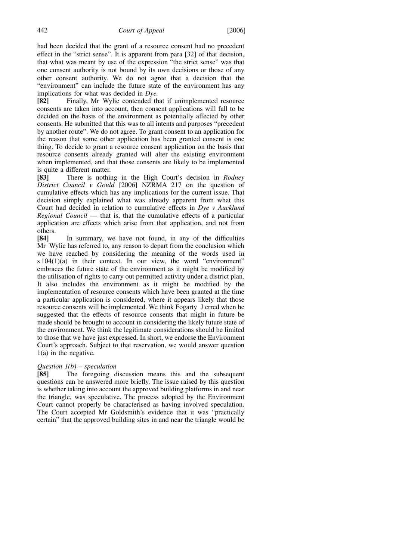had been decided that the grant of a resource consent had no precedent effect in the "strict sense". It is apparent from para [32] of that decision, that what was meant by use of the expression "the strict sense" was that one consent authority is not bound by its own decisions or those of any other consent authority. We do not agree that a decision that the "environment" can include the future state of the environment has any implications for what was decided in Dye.

[82] Finally, Mr Wylie contended that if unimplemented resource consents are taken into account, then consent applications will fall to be decided on the basis of the environment as potentially affected by other consents. He submitted that this was to all intents and purposes "precedent by another route". We do not agree. To grant consent to an application for the reason that some other application has been granted consent is one thing. To decide to grant a resource consent application on the basis that resource consents already granted will alter the existing environment when implemented, and that those consents are likely to be implemented is quite a different matter.

[83] There is nothing in the High Court's decision in Rodney District Council v Gould [2006] NZRMA 217 on the question of cumulative effects which has any implications for the current issue. That decision simply explained what was already apparent from what this Court had decided in relation to cumulative effects in Dye v Auckland Regional Council — that is, that the cumulative effects of a particular application are effects which arise from that application, and not from others.

[84] In summary, we have not found, in any of the difficulties Mr Wylie has referred to, any reason to depart from the conclusion which we have reached by considering the meaning of the words used in s 104(1)(a) in their context. In our view, the word "environment" embraces the future state of the environment as it might be modified by the utilisation of rights to carry out permitted activity under a district plan. It also includes the environment as it might be modified by the implementation of resource consents which have been granted at the time a particular application is considered, where it appears likely that those resource consents will be implemented. We think Fogarty J erred when he suggested that the effects of resource consents that might in future be made should be brought to account in considering the likely future state of the environment. We think the legitimate considerations should be limited to those that we have just expressed. In short, we endorse the Environment Court's approach. Subject to that reservation, we would answer question 1(a) in the negative.

#### Question  $1(b)$  – speculation

[85] The foregoing discussion means this and the subsequent questions can be answered more briefly. The issue raised by this question is whether taking into account the approved building platforms in and near the triangle, was speculative. The process adopted by the Environment Court cannot properly be characterised as having involved speculation. The Court accepted Mr Goldsmith's evidence that it was "practically certain" that the approved building sites in and near the triangle would be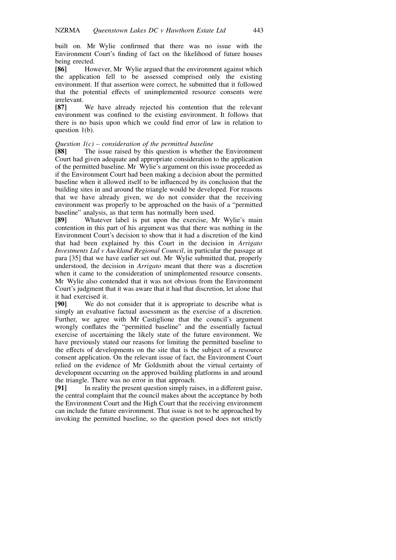built on. Mr Wylie confirmed that there was no issue with the Environment Court's finding of fact on the likelihood of future houses being erected.<br>[86] Hov

However, Mr Wylie argued that the environment against which the application fell to be assessed comprised only the existing environment. If that assertion were correct, he submitted that it followed that the potential effects of unimplemented resource consents were irrelevant.

[87] We have already rejected his contention that the relevant environment was confined to the existing environment. It follows that there is no basis upon which we could find error of law in relation to question 1(b).

#### Question  $I(c)$  – consideration of the permitted baseline

[88] The issue raised by this question is whether the Environment Court had given adequate and appropriate consideration to the application of the permitted baseline. Mr Wylie's argument on this issue proceeded as if the Environment Court had been making a decision about the permitted baseline when it allowed itself to be influenced by its conclusion that the building sites in and around the triangle would be developed. For reasons that we have already given, we do not consider that the receiving environment was properly to be approached on the basis of a "permitted baseline" analysis, as that term has normally been used.

[89] Whatever label is put upon the exercise, Mr Wylie's main contention in this part of his argument was that there was nothing in the Environment Court's decision to show that it had a discretion of the kind that had been explained by this Court in the decision in Arrigato Investments Ltd v Auckland Regional Council, in particular the passage at para [35] that we have earlier set out. Mr Wylie submitted that, properly understood, the decision in Arrigato meant that there was a discretion when it came to the consideration of unimplemented resource consents. Mr Wylie also contended that it was not obvious from the Environment Court's judgment that it was aware that it had that discretion, let alone that it had exercised it.

[90] We do not consider that it is appropriate to describe what is simply an evaluative factual assessment as the exercise of a discretion. Further, we agree with Mr Castiglione that the council's argument wrongly conflates the "permitted baseline" and the essentially factual exercise of ascertaining the likely state of the future environment. We have previously stated our reasons for limiting the permitted baseline to the effects of developments on the site that is the subject of a resource consent application. On the relevant issue of fact, the Environment Court relied on the evidence of Mr Goldsmith about the virtual certainty of development occurring on the approved building platforms in and around the triangle. There was no error in that approach.

[91] In reality the present question simply raises, in a different guise, the central complaint that the council makes about the acceptance by both the Environment Court and the High Court that the receiving environment can include the future environment. That issue is not to be approached by invoking the permitted baseline, so the question posed does not strictly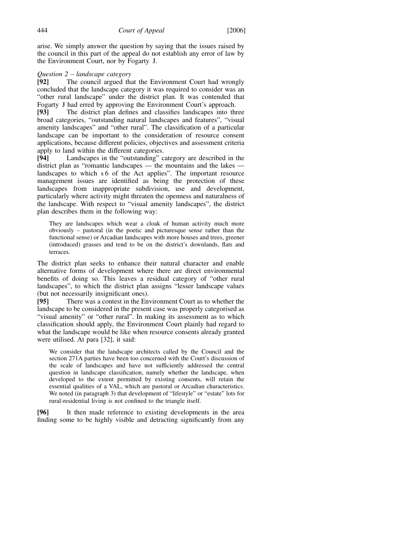arise. We simply answer the question by saying that the issues raised by the council in this part of the appeal do not establish any error of law by the Environment Court, nor by Fogarty J.

# $Question\ 2 - landscape\ category$ <br>**[92]** The council argued the

The council argued that the Environment Court had wrongly concluded that the landscape category it was required to consider was an "other rural landscape" under the district plan. It was contended that Fogarty J had erred by approving the Environment Court's approach.

[93] The district plan defines and classifies landscapes into three broad categories, "outstanding natural landscapes and features", "visual amenity landscapes" and "other rural". The classification of a particular landscape can be important to the consideration of resource consent applications, because different policies, objectives and assessment criteria apply to land within the different categories.

[94] Landscapes in the "outstanding" category are described in the district plan as "romantic landscapes — the mountains and the lakes landscapes to which s 6 of the Act applies". The important resource management issues are identified as being the protection of these landscapes from inappropriate subdivision, use and development, particularly where activity might threaten the openness and naturalness of the landscape. With respect to "visual amenity landscapes", the district plan describes them in the following way:

They are landscapes which wear a cloak of human activity much more obviously – pastoral (in the poetic and picturesque sense rather than the functional sense) or Arcadian landscapes with more houses and trees, greener (introduced) grasses and tend to be on the district's downlands, flats and terraces.

The district plan seeks to enhance their natural character and enable alternative forms of development where there are direct environmental benefits of doing so. This leaves a residual category of "other rural landscapes", to which the district plan assigns "lesser landscape values (but not necessarily insignificant ones).

[95] There was a contest in the Environment Court as to whether the landscape to be considered in the present case was properly categorised as "visual amenity" or "other rural". In making its assessment as to which classification should apply, the Environment Court plainly had regard to what the landscape would be like when resource consents already granted were utilised. At para [32], it said:

We consider that the landscape architects called by the Council and the section 271A parties have been too concerned with the Court's discussion of the scale of landscapes and have not sufficiently addressed the central question in landscape classification, namely whether the landscape, when developed to the extent permitted by existing consents, will retain the essential qualities of a VAL, which are pastoral or Arcadian characteristics. We noted (in paragraph 3) that development of "lifestyle" or "estate" lots for rural-residential living is not confined to the triangle itself.

[96] It then made reference to existing developments in the area finding some to be highly visible and detracting significantly from any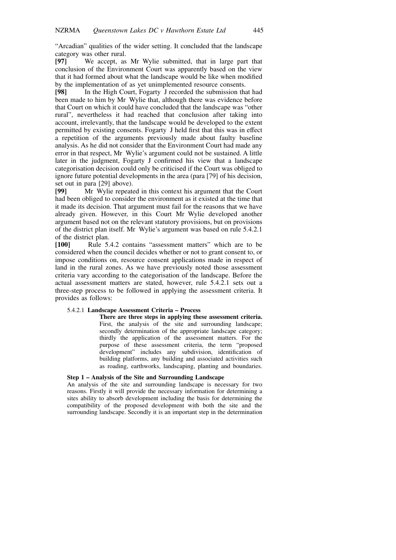"Arcadian" qualities of the wider setting. It concluded that the landscape category was other rural.

[97] We accept, as Mr Wylie submitted, that in large part that conclusion of the Environment Court was apparently based on the view that it had formed about what the landscape would be like when modified by the implementation of as yet unimplemented resource consents.

[98] In the High Court, Fogarty J recorded the submission that had been made to him by Mr Wylie that, although there was evidence before that Court on which it could have concluded that the landscape was "other rural", nevertheless it had reached that conclusion after taking into account, irrelevantly, that the landscape would be developed to the extent permitted by existing consents. Fogarty J held first that this was in effect a repetition of the arguments previously made about faulty baseline analysis. As he did not consider that the Environment Court had made any error in that respect, Mr Wylie's argument could not be sustained. A little later in the judgment, Fogarty J confirmed his view that a landscape categorisation decision could only be criticised if the Court was obliged to ignore future potential developments in the area (para [79] of his decision, set out in para [29] above).

[99] Mr Wylie repeated in this context his argument that the Court had been obliged to consider the environment as it existed at the time that it made its decision. That argument must fail for the reasons that we have already given. However, in this Court Mr Wylie developed another argument based not on the relevant statutory provisions, but on provisions of the district plan itself. Mr Wylie's argument was based on rule 5.4.2.1 of the district plan.

[100] Rule 5.4.2 contains "assessment matters" which are to be considered when the council decides whether or not to grant consent to, or impose conditions on, resource consent applications made in respect of land in the rural zones. As we have previously noted those assessment criteria vary according to the categorisation of the landscape. Before the actual assessment matters are stated, however, rule 5.4.2.1 sets out a three-step process to be followed in applying the assessment criteria. It provides as follows:

#### 5.4.2.1 Landscape Assessment Criteria – Process

There are three steps in applying these assessment criteria. First, the analysis of the site and surrounding landscape; secondly determination of the appropriate landscape category; thirdly the application of the assessment matters. For the purpose of these assessment criteria, the term "proposed development" includes any subdivision, identification of building platforms, any building and associated activities such as roading, earthworks, landscaping, planting and boundaries.

#### Step 1 – Analysis of the Site and Surrounding Landscape

An analysis of the site and surrounding landscape is necessary for two reasons. Firstly it will provide the necessary information for determining a sites ability to absorb development including the basis for determining the compatibility of the proposed development with both the site and the surrounding landscape. Secondly it is an important step in the determination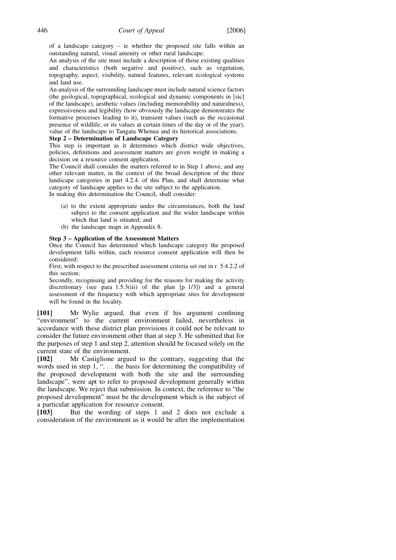of a landscape category – ie whether the proposed site falls within an outstanding natural, visual amenity or other rural landscape.

An analysis of the site must include a description of those existing qualities and characteristics (both negative and positive), such as vegetation, topography, aspect, visibility, natural features, relevant ecological systems and land use.

An analysis of the surrounding landscape must include natural science factors (the geological, topographical, ecological and dynamic components in [sic] of the landscape), aesthetic values (including memorability and naturalness), expressiveness and legibility (how obviously the landscape demonstrates the formative processes leading to it), transient values (such as the occasional presence of wildlife; or its values at certain times of the day or of the year), value of the landscape to Tangata Whenua and its historical associations.

#### Step 2 – Determination of Landscape Category

This step is important as it determines which district wide objectives, policies, definitions and assessment matters are given weight in making a decision on a resource consent application.

The Council shall consider the matters referred to in Step 1 above, and any other relevant matter, in the context of the broad description of the three landscape categories in part 4.2.4. of this Plan, and shall determine what category of landscape applies to the site subject to the application.

In making this determination the Council, shall consider:

- (a) to the extent appropriate under the circumstances, both the land subject to the consent application and the wider landscape within which that land is situated; and
- (b) the landscape maps in Appendix 8.

#### Step 3 – Application of the Assessment Matters

Once the Council has determined which landscape category the proposed development falls within, each resource consent application will then be considered:

First, with respect to the prescribed assessment criteria set out in r 5.4.2.2 of this section;

Secondly, recognising and providing for the reasons for making the activity discretionary (see para 1.5.3(iii) of the plan [p 1/3]) and a general assessment of the frequency with which appropriate sites for development will be found in the locality.

[101] Mr Wylie argued, that even if his argument confining "environment" to the current environment failed, nevertheless in accordance with these district plan provisions it could not be relevant to consider the future environment other than at step 3. He submitted that for the purposes of step 1 and step 2, attention should be focused solely on the current state of the environment.

[102] Mr Castiglione argued to the contrary, suggesting that the words used in step 1, "... the basis for determining the compatibility of the proposed development with both the site and the surrounding landscape", were apt to refer to proposed development generally within the landscape. We reject that submission. In context, the reference to "the proposed development" must be the development which is the subject of a particular application for resource consent.

[103] But the wording of steps 1 and 2 does not exclude a consideration of the environment as it would be after the implementation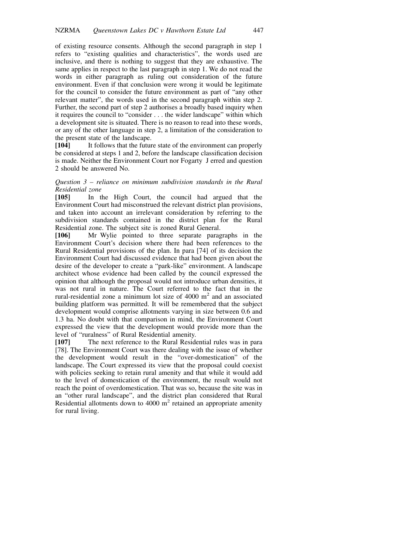of existing resource consents. Although the second paragraph in step 1 refers to "existing qualities and characteristics", the words used are inclusive, and there is nothing to suggest that they are exhaustive. The same applies in respect to the last paragraph in step 1. We do not read the words in either paragraph as ruling out consideration of the future environment. Even if that conclusion were wrong it would be legitimate for the council to consider the future environment as part of "any other relevant matter", the words used in the second paragraph within step 2. Further, the second part of step 2 authorises a broadly based inquiry when it requires the council to "consider . . . the wider landscape" within which a development site is situated. There is no reason to read into these words, or any of the other language in step 2, a limitation of the consideration to the present state of the landscape.

[104] It follows that the future state of the environment can properly be considered at steps 1 and 2, before the landscape classification decision is made. Neither the Environment Court nor Fogarty J erred and question 2 should be answered No.

### Question  $3$  – reliance on minimum subdivision standards in the Rural Residential zone

[105] In the High Court, the council had argued that the Environment Court had misconstrued the relevant district plan provisions, and taken into account an irrelevant consideration by referring to the subdivision standards contained in the district plan for the Rural Residential zone. The subject site is zoned Rural General.

[106] Mr Wylie pointed to three separate paragraphs in the Environment Court's decision where there had been references to the Rural Residential provisions of the plan. In para [74] of its decision the Environment Court had discussed evidence that had been given about the desire of the developer to create a "park-like" environment. A landscape architect whose evidence had been called by the council expressed the opinion that although the proposal would not introduce urban densities, it was not rural in nature. The Court referred to the fact that in the rural-residential zone a minimum lot size of  $4000 \text{ m}^2$  and an associated building platform was permitted. It will be remembered that the subject development would comprise allotments varying in size between 0.6 and 1.3 ha. No doubt with that comparison in mind, the Environment Court expressed the view that the development would provide more than the level of "ruralness" of Rural Residential amenity.

[107] The next reference to the Rural Residential rules was in para [78]. The Environment Court was there dealing with the issue of whether the development would result in the "over-domestication" of the landscape. The Court expressed its view that the proposal could coexist with policies seeking to retain rural amenity and that while it would add to the level of domestication of the environment, the result would not reach the point of overdomestication. That was so, because the site was in an "other rural landscape", and the district plan considered that Rural Residential allotments down to 4000  $m^2$  retained an appropriate amenity for rural living.